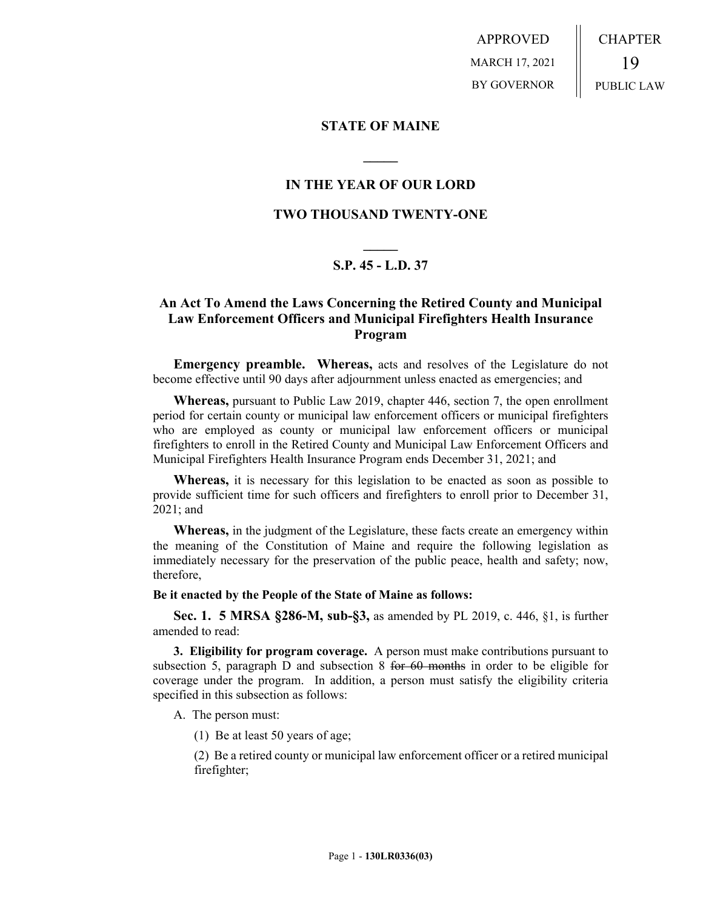APPROVED MARCH 17, 2021 BY GOVERNOR CHAPTER 19 PUBLIC LAW

### **STATE OF MAINE**

## **IN THE YEAR OF OUR LORD**

**\_\_\_\_\_**

## **TWO THOUSAND TWENTY-ONE**

# **\_\_\_\_\_ S.P. 45 - L.D. 37**

## **An Act To Amend the Laws Concerning the Retired County and Municipal Law Enforcement Officers and Municipal Firefighters Health Insurance Program**

**Emergency preamble. Whereas,** acts and resolves of the Legislature do not become effective until 90 days after adjournment unless enacted as emergencies; and

**Whereas,** pursuant to Public Law 2019, chapter 446, section 7, the open enrollment period for certain county or municipal law enforcement officers or municipal firefighters who are employed as county or municipal law enforcement officers or municipal firefighters to enroll in the Retired County and Municipal Law Enforcement Officers and Municipal Firefighters Health Insurance Program ends December 31, 2021; and

**Whereas,** it is necessary for this legislation to be enacted as soon as possible to provide sufficient time for such officers and firefighters to enroll prior to December 31, 2021; and

**Whereas,** in the judgment of the Legislature, these facts create an emergency within the meaning of the Constitution of Maine and require the following legislation as immediately necessary for the preservation of the public peace, health and safety; now, therefore,

#### **Be it enacted by the People of the State of Maine as follows:**

**Sec. 1. 5 MRSA §286-M, sub-§3,** as amended by PL 2019, c. 446, §1, is further amended to read:

**3. Eligibility for program coverage.** A person must make contributions pursuant to subsection 5, paragraph D and subsection 8 for 60 months in order to be eligible for coverage under the program. In addition, a person must satisfy the eligibility criteria specified in this subsection as follows:

A. The person must:

(1) Be at least 50 years of age;

(2) Be a retired county or municipal law enforcement officer or a retired municipal firefighter;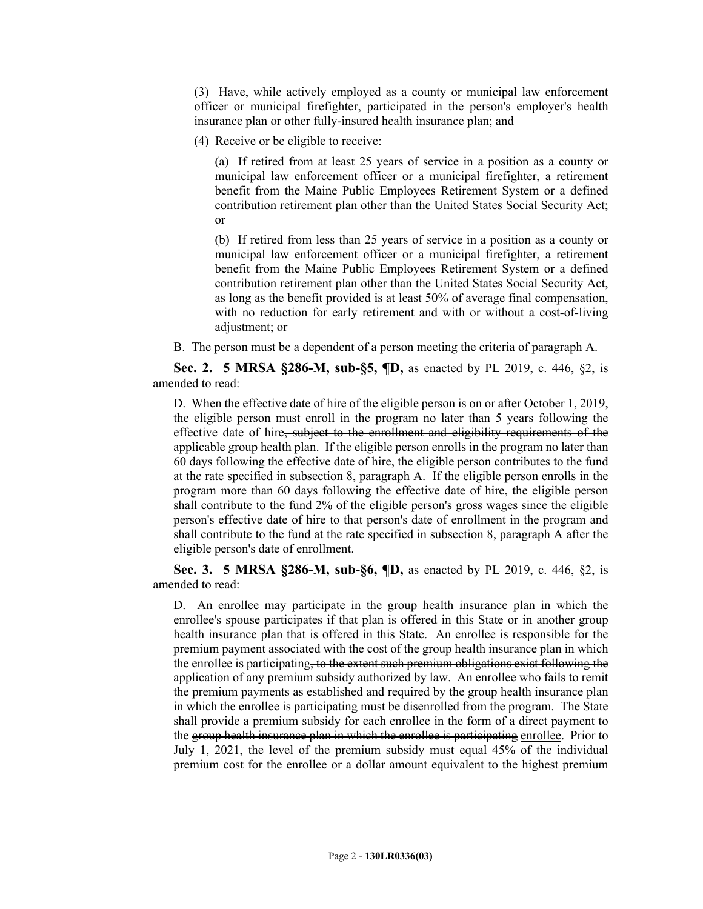(3) Have, while actively employed as a county or municipal law enforcement officer or municipal firefighter, participated in the person's employer's health insurance plan or other fully-insured health insurance plan; and

(4) Receive or be eligible to receive:

(a) If retired from at least 25 years of service in a position as a county or municipal law enforcement officer or a municipal firefighter, a retirement benefit from the Maine Public Employees Retirement System or a defined contribution retirement plan other than the United States Social Security Act; or

(b) If retired from less than 25 years of service in a position as a county or municipal law enforcement officer or a municipal firefighter, a retirement benefit from the Maine Public Employees Retirement System or a defined contribution retirement plan other than the United States Social Security Act, as long as the benefit provided is at least 50% of average final compensation, with no reduction for early retirement and with or without a cost-of-living adjustment; or

B. The person must be a dependent of a person meeting the criteria of paragraph A.

**Sec. 2. 5 MRSA §286-M, sub-§5, ¶D,** as enacted by PL 2019, c. 446, §2, is amended to read:

D. When the effective date of hire of the eligible person is on or after October 1, 2019, the eligible person must enroll in the program no later than 5 years following the effective date of hire, subject to the enrollment and eligibility requirements of the applicable group health plan. If the eligible person enrolls in the program no later than 60 days following the effective date of hire, the eligible person contributes to the fund at the rate specified in subsection 8, paragraph A. If the eligible person enrolls in the program more than 60 days following the effective date of hire, the eligible person shall contribute to the fund 2% of the eligible person's gross wages since the eligible person's effective date of hire to that person's date of enrollment in the program and shall contribute to the fund at the rate specified in subsection 8, paragraph A after the eligible person's date of enrollment.

**Sec. 3. 5 MRSA §286-M, sub-§6, ¶D,** as enacted by PL 2019, c. 446, §2, is amended to read:

D. An enrollee may participate in the group health insurance plan in which the enrollee's spouse participates if that plan is offered in this State or in another group health insurance plan that is offered in this State. An enrollee is responsible for the premium payment associated with the cost of the group health insurance plan in which the enrollee is participating, to the extent such premium obligations exist following the application of any premium subsidy authorized by law. An enrollee who fails to remit the premium payments as established and required by the group health insurance plan in which the enrollee is participating must be disenrolled from the program. The State shall provide a premium subsidy for each enrollee in the form of a direct payment to the group health insurance plan in which the enrollee is participating enrollee. Prior to July 1, 2021, the level of the premium subsidy must equal 45% of the individual premium cost for the enrollee or a dollar amount equivalent to the highest premium